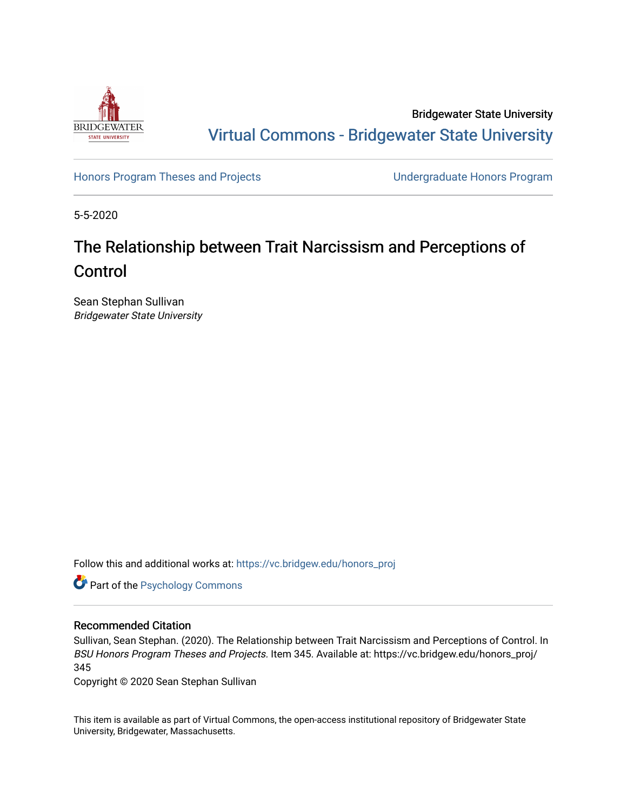

Bridgewater State University [Virtual Commons - Bridgewater State University](https://vc.bridgew.edu/) 

[Honors Program Theses and Projects](https://vc.bridgew.edu/honors_proj) [Undergraduate Honors Program](https://vc.bridgew.edu/honors) 

5-5-2020

# The Relationship between Trait Narcissism and Perceptions of Control

Sean Stephan Sullivan Bridgewater State University

Follow this and additional works at: [https://vc.bridgew.edu/honors\\_proj](https://vc.bridgew.edu/honors_proj?utm_source=vc.bridgew.edu%2Fhonors_proj%2F345&utm_medium=PDF&utm_campaign=PDFCoverPages)



## Recommended Citation

Sullivan, Sean Stephan. (2020). The Relationship between Trait Narcissism and Perceptions of Control. In BSU Honors Program Theses and Projects. Item 345. Available at: https://vc.bridgew.edu/honors\_proj/ 345

Copyright © 2020 Sean Stephan Sullivan

This item is available as part of Virtual Commons, the open-access institutional repository of Bridgewater State University, Bridgewater, Massachusetts.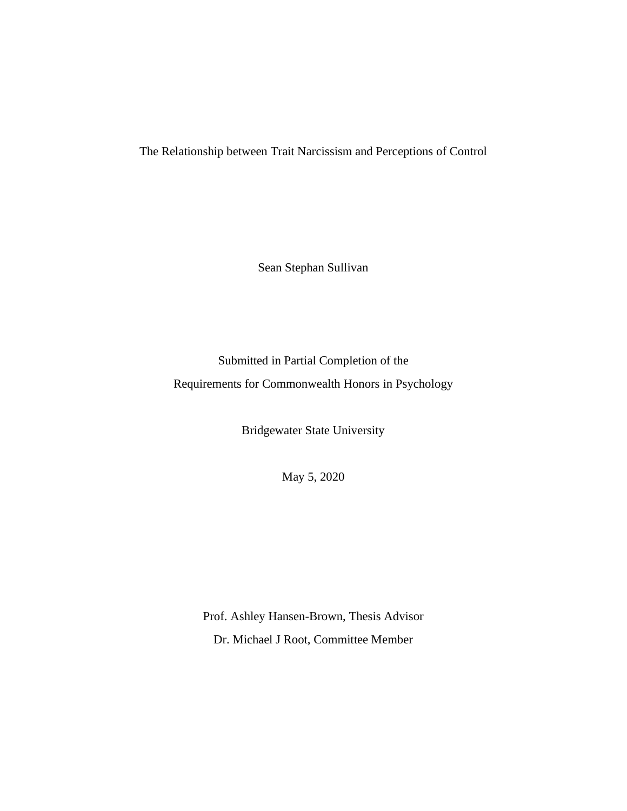The Relationship between Trait Narcissism and Perceptions of Control

Sean Stephan Sullivan

Submitted in Partial Completion of the Requirements for Commonwealth Honors in Psychology

Bridgewater State University

May 5, 2020

Prof. Ashley Hansen-Brown, Thesis Advisor Dr. Michael J Root, Committee Member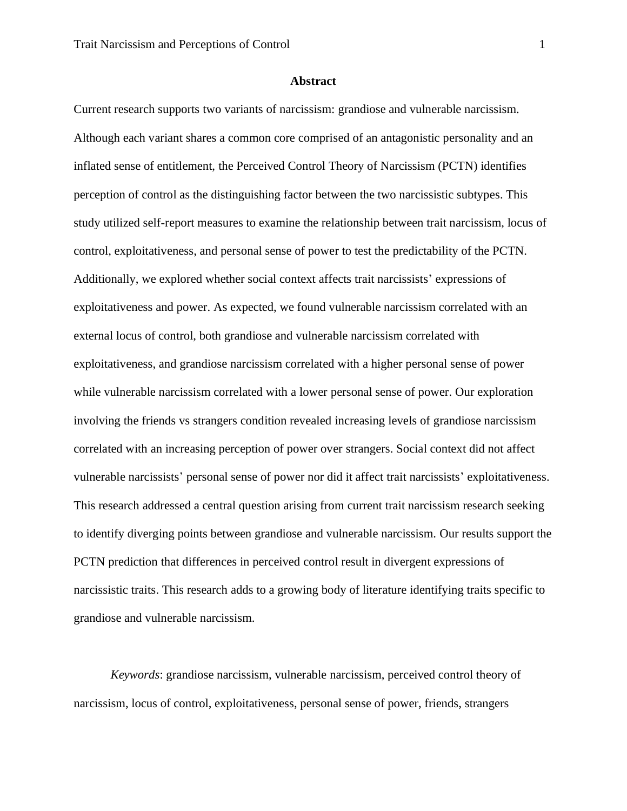## **Abstract**

Current research supports two variants of narcissism: grandiose and vulnerable narcissism. Although each variant shares a common core comprised of an antagonistic personality and an inflated sense of entitlement, the Perceived Control Theory of Narcissism (PCTN) identifies perception of control as the distinguishing factor between the two narcissistic subtypes. This study utilized self-report measures to examine the relationship between trait narcissism, locus of control, exploitativeness, and personal sense of power to test the predictability of the PCTN. Additionally, we explored whether social context affects trait narcissists' expressions of exploitativeness and power. As expected, we found vulnerable narcissism correlated with an external locus of control, both grandiose and vulnerable narcissism correlated with exploitativeness, and grandiose narcissism correlated with a higher personal sense of power while vulnerable narcissism correlated with a lower personal sense of power. Our exploration involving the friends vs strangers condition revealed increasing levels of grandiose narcissism correlated with an increasing perception of power over strangers. Social context did not affect vulnerable narcissists' personal sense of power nor did it affect trait narcissists' exploitativeness. This research addressed a central question arising from current trait narcissism research seeking to identify diverging points between grandiose and vulnerable narcissism. Our results support the PCTN prediction that differences in perceived control result in divergent expressions of narcissistic traits. This research adds to a growing body of literature identifying traits specific to grandiose and vulnerable narcissism.

 *Keywords*: grandiose narcissism, vulnerable narcissism, perceived control theory of narcissism, locus of control, exploitativeness, personal sense of power, friends, strangers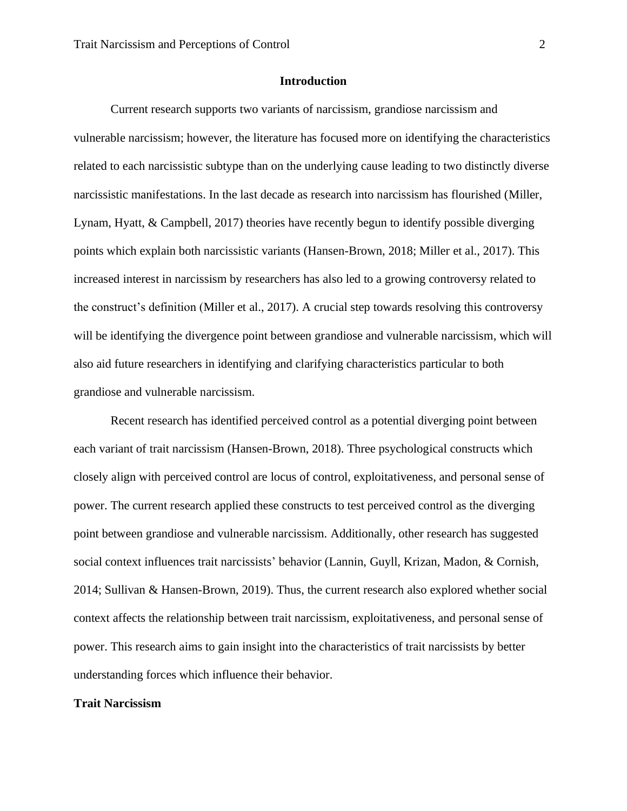## **Introduction**

 Current research supports two variants of narcissism, grandiose narcissism and vulnerable narcissism; however, the literature has focused more on identifying the characteristics related to each narcissistic subtype than on the underlying cause leading to two distinctly diverse narcissistic manifestations. In the last decade as research into narcissism has flourished (Miller, Lynam, Hyatt, & Campbell, 2017) theories have recently begun to identify possible diverging points which explain both narcissistic variants (Hansen-Brown, 2018; Miller et al., 2017). This increased interest in narcissism by researchers has also led to a growing controversy related to the construct's definition (Miller et al., 2017). A crucial step towards resolving this controversy will be identifying the divergence point between grandiose and vulnerable narcissism, which will also aid future researchers in identifying and clarifying characteristics particular to both grandiose and vulnerable narcissism.

 Recent research has identified perceived control as a potential diverging point between each variant of trait narcissism (Hansen-Brown, 2018). Three psychological constructs which closely align with perceived control are locus of control, exploitativeness, and personal sense of power. The current research applied these constructs to test perceived control as the diverging point between grandiose and vulnerable narcissism. Additionally, other research has suggested social context influences trait narcissists' behavior (Lannin, Guyll, Krizan, Madon, & Cornish, 2014; Sullivan & Hansen-Brown, 2019). Thus, the current research also explored whether social context affects the relationship between trait narcissism, exploitativeness, and personal sense of power. This research aims to gain insight into the characteristics of trait narcissists by better understanding forces which influence their behavior.

## **Trait Narcissism**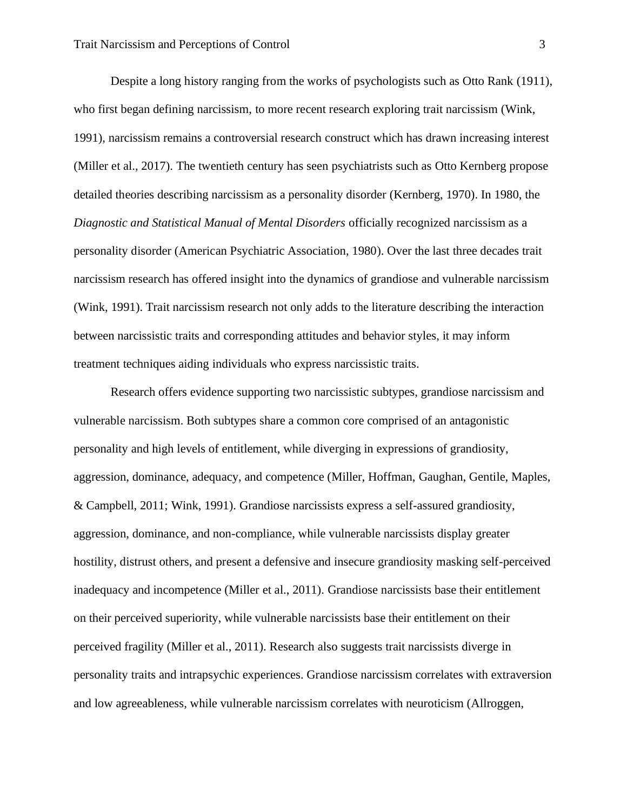Despite a long history ranging from the works of psychologists such as Otto Rank (1911), who first began defining narcissism, to more recent research exploring trait narcissism (Wink, 1991), narcissism remains a controversial research construct which has drawn increasing interest (Miller et al., 2017). The twentieth century has seen psychiatrists such as Otto Kernberg propose detailed theories describing narcissism as a personality disorder (Kernberg, 1970). In 1980, the *Diagnostic and Statistical Manual of Mental Disorders* officially recognized narcissism as a personality disorder (American Psychiatric Association, 1980). Over the last three decades trait narcissism research has offered insight into the dynamics of grandiose and vulnerable narcissism (Wink, 1991). Trait narcissism research not only adds to the literature describing the interaction between narcissistic traits and corresponding attitudes and behavior styles, it may inform treatment techniques aiding individuals who express narcissistic traits.

 Research offers evidence supporting two narcissistic subtypes, grandiose narcissism and vulnerable narcissism. Both subtypes share a common core comprised of an antagonistic personality and high levels of entitlement, while diverging in expressions of grandiosity, aggression, dominance, adequacy, and competence (Miller, Hoffman, Gaughan, Gentile, Maples, & Campbell, 2011; Wink, 1991). Grandiose narcissists express a self-assured grandiosity, aggression, dominance, and non-compliance, while vulnerable narcissists display greater hostility, distrust others, and present a defensive and insecure grandiosity masking self-perceived inadequacy and incompetence (Miller et al., 2011). Grandiose narcissists base their entitlement on their perceived superiority, while vulnerable narcissists base their entitlement on their perceived fragility (Miller et al., 2011). Research also suggests trait narcissists diverge in personality traits and intrapsychic experiences. Grandiose narcissism correlates with extraversion and low agreeableness, while vulnerable narcissism correlates with neuroticism (Allroggen,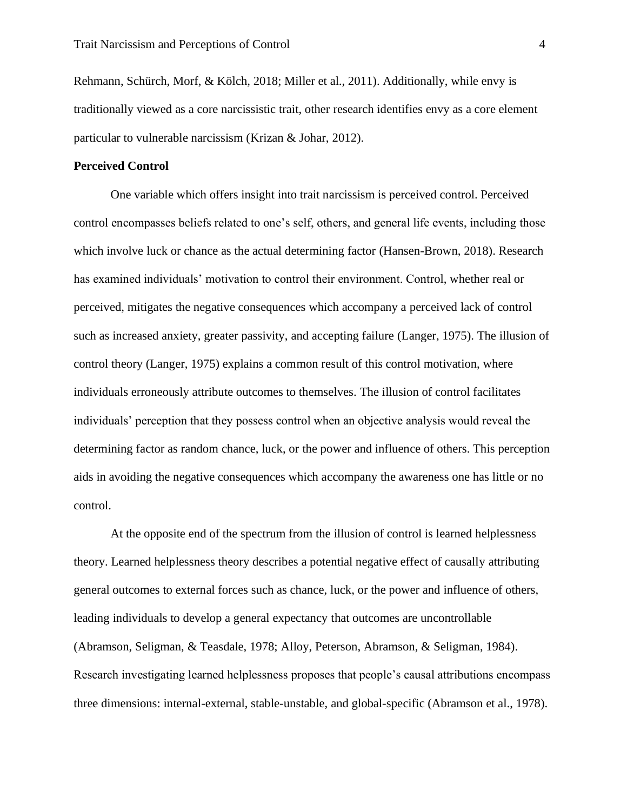Rehmann, Schürch, Morf, & Kölch, 2018; Miller et al., 2011). Additionally, while envy is traditionally viewed as a core narcissistic trait, other research identifies envy as a core element particular to vulnerable narcissism (Krizan & Johar, 2012).

## **Perceived Control**

 One variable which offers insight into trait narcissism is perceived control. Perceived control encompasses beliefs related to one's self, others, and general life events, including those which involve luck or chance as the actual determining factor (Hansen-Brown, 2018). Research has examined individuals' motivation to control their environment. Control, whether real or perceived, mitigates the negative consequences which accompany a perceived lack of control such as increased anxiety, greater passivity, and accepting failure (Langer, 1975). The illusion of control theory (Langer, 1975) explains a common result of this control motivation, where individuals erroneously attribute outcomes to themselves. The illusion of control facilitates individuals' perception that they possess control when an objective analysis would reveal the determining factor as random chance, luck, or the power and influence of others. This perception aids in avoiding the negative consequences which accompany the awareness one has little or no control.

 At the opposite end of the spectrum from the illusion of control is learned helplessness theory. Learned helplessness theory describes a potential negative effect of causally attributing general outcomes to external forces such as chance, luck, or the power and influence of others, leading individuals to develop a general expectancy that outcomes are uncontrollable (Abramson, Seligman, & Teasdale, 1978; Alloy, Peterson, Abramson, & Seligman, 1984). Research investigating learned helplessness proposes that people's causal attributions encompass three dimensions: internal-external, stable-unstable, and global-specific (Abramson et al., 1978).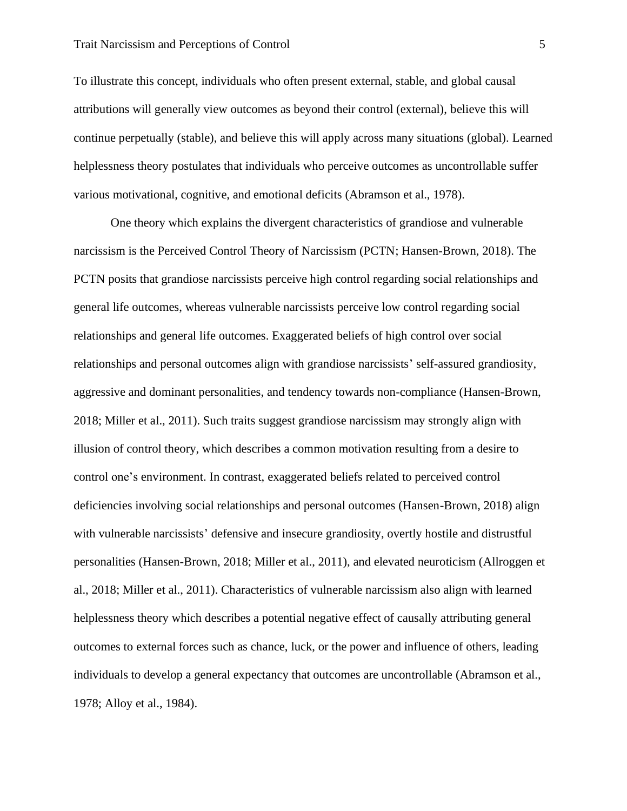## Trait Narcissism and Perceptions of Control 5

To illustrate this concept, individuals who often present external, stable, and global causal attributions will generally view outcomes as beyond their control (external), believe this will continue perpetually (stable), and believe this will apply across many situations (global). Learned helplessness theory postulates that individuals who perceive outcomes as uncontrollable suffer various motivational, cognitive, and emotional deficits (Abramson et al., 1978).

 One theory which explains the divergent characteristics of grandiose and vulnerable narcissism is the Perceived Control Theory of Narcissism (PCTN; Hansen-Brown, 2018). The PCTN posits that grandiose narcissists perceive high control regarding social relationships and general life outcomes, whereas vulnerable narcissists perceive low control regarding social relationships and general life outcomes. Exaggerated beliefs of high control over social relationships and personal outcomes align with grandiose narcissists' self-assured grandiosity, aggressive and dominant personalities, and tendency towards non-compliance (Hansen-Brown, 2018; Miller et al., 2011). Such traits suggest grandiose narcissism may strongly align with illusion of control theory, which describes a common motivation resulting from a desire to control one's environment. In contrast, exaggerated beliefs related to perceived control deficiencies involving social relationships and personal outcomes (Hansen-Brown, 2018) align with vulnerable narcissists' defensive and insecure grandiosity, overtly hostile and distrustful personalities (Hansen-Brown, 2018; Miller et al., 2011), and elevated neuroticism (Allroggen et al., 2018; Miller et al., 2011). Characteristics of vulnerable narcissism also align with learned helplessness theory which describes a potential negative effect of causally attributing general outcomes to external forces such as chance, luck, or the power and influence of others, leading individuals to develop a general expectancy that outcomes are uncontrollable (Abramson et al., 1978; Alloy et al., 1984).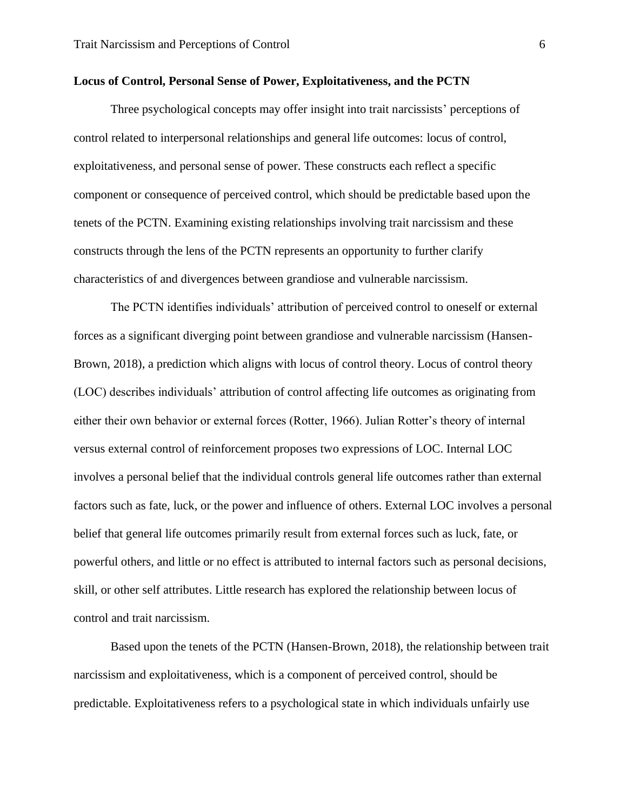## **Locus of Control, Personal Sense of Power, Exploitativeness, and the PCTN**

 Three psychological concepts may offer insight into trait narcissists' perceptions of control related to interpersonal relationships and general life outcomes: locus of control, exploitativeness, and personal sense of power. These constructs each reflect a specific component or consequence of perceived control, which should be predictable based upon the tenets of the PCTN. Examining existing relationships involving trait narcissism and these constructs through the lens of the PCTN represents an opportunity to further clarify characteristics of and divergences between grandiose and vulnerable narcissism.

 The PCTN identifies individuals' attribution of perceived control to oneself or external forces as a significant diverging point between grandiose and vulnerable narcissism (Hansen-Brown, 2018), a prediction which aligns with locus of control theory. Locus of control theory (LOC) describes individuals' attribution of control affecting life outcomes as originating from either their own behavior or external forces (Rotter, 1966). Julian Rotter's theory of internal versus external control of reinforcement proposes two expressions of LOC. Internal LOC involves a personal belief that the individual controls general life outcomes rather than external factors such as fate, luck, or the power and influence of others. External LOC involves a personal belief that general life outcomes primarily result from external forces such as luck, fate, or powerful others, and little or no effect is attributed to internal factors such as personal decisions, skill, or other self attributes. Little research has explored the relationship between locus of control and trait narcissism.

 Based upon the tenets of the PCTN (Hansen-Brown, 2018), the relationship between trait narcissism and exploitativeness, which is a component of perceived control, should be predictable. Exploitativeness refers to a psychological state in which individuals unfairly use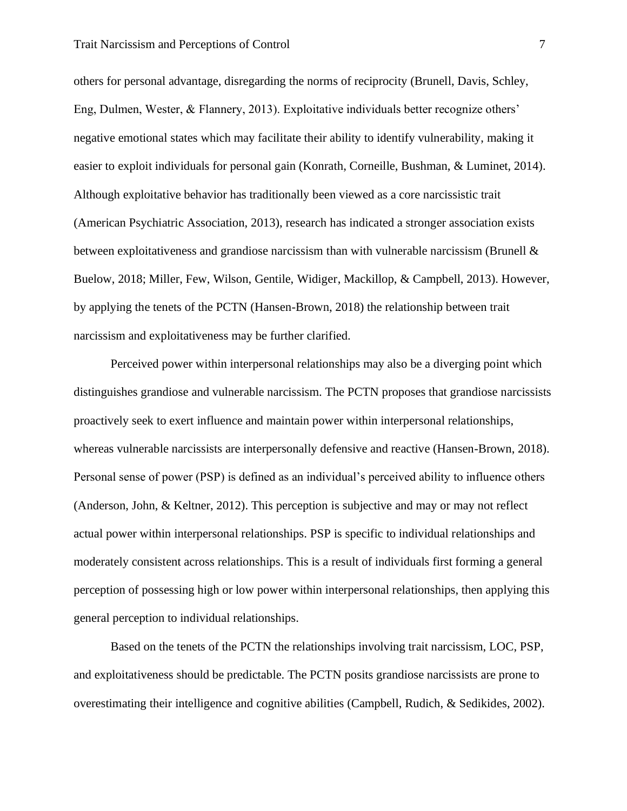others for personal advantage, disregarding the norms of reciprocity (Brunell, Davis, Schley, Eng, Dulmen, Wester, & Flannery, 2013). Exploitative individuals better recognize others' negative emotional states which may facilitate their ability to identify vulnerability, making it easier to exploit individuals for personal gain (Konrath, Corneille, Bushman, & Luminet, 2014). Although exploitative behavior has traditionally been viewed as a core narcissistic trait (American Psychiatric Association, 2013), research has indicated a stronger association exists between exploitativeness and grandiose narcissism than with vulnerable narcissism (Brunell  $\&$ Buelow, 2018; Miller, Few, Wilson, Gentile, Widiger, Mackillop, & Campbell, 2013). However, by applying the tenets of the PCTN (Hansen-Brown, 2018) the relationship between trait narcissism and exploitativeness may be further clarified.

 Perceived power within interpersonal relationships may also be a diverging point which distinguishes grandiose and vulnerable narcissism. The PCTN proposes that grandiose narcissists proactively seek to exert influence and maintain power within interpersonal relationships, whereas vulnerable narcissists are interpersonally defensive and reactive (Hansen-Brown, 2018). Personal sense of power (PSP) is defined as an individual's perceived ability to influence others (Anderson, John, & Keltner, 2012). This perception is subjective and may or may not reflect actual power within interpersonal relationships. PSP is specific to individual relationships and moderately consistent across relationships. This is a result of individuals first forming a general perception of possessing high or low power within interpersonal relationships, then applying this general perception to individual relationships.

 Based on the tenets of the PCTN the relationships involving trait narcissism, LOC, PSP, and exploitativeness should be predictable. The PCTN posits grandiose narcissists are prone to overestimating their intelligence and cognitive abilities (Campbell, Rudich, & Sedikides, 2002).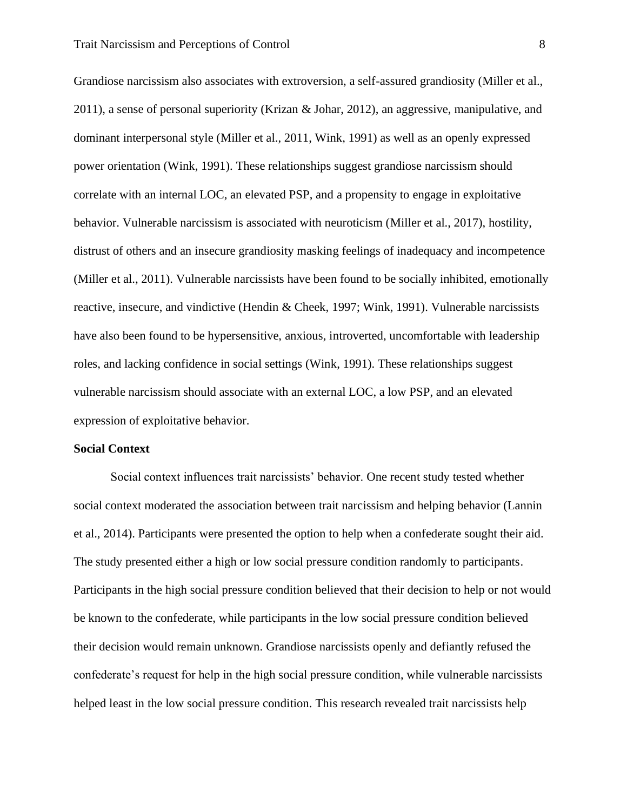Grandiose narcissism also associates with extroversion, a self-assured grandiosity (Miller et al., 2011), a sense of personal superiority (Krizan & Johar, 2012), an aggressive, manipulative, and dominant interpersonal style (Miller et al., 2011, Wink, 1991) as well as an openly expressed power orientation (Wink, 1991). These relationships suggest grandiose narcissism should correlate with an internal LOC, an elevated PSP, and a propensity to engage in exploitative behavior. Vulnerable narcissism is associated with neuroticism (Miller et al., 2017), hostility, distrust of others and an insecure grandiosity masking feelings of inadequacy and incompetence (Miller et al., 2011). Vulnerable narcissists have been found to be socially inhibited, emotionally reactive, insecure, and vindictive (Hendin & Cheek, 1997; Wink, 1991). Vulnerable narcissists have also been found to be hypersensitive, anxious, introverted, uncomfortable with leadership roles, and lacking confidence in social settings (Wink, 1991). These relationships suggest vulnerable narcissism should associate with an external LOC, a low PSP, and an elevated expression of exploitative behavior.

## **Social Context**

 Social context influences trait narcissists' behavior. One recent study tested whether social context moderated the association between trait narcissism and helping behavior (Lannin et al., 2014). Participants were presented the option to help when a confederate sought their aid. The study presented either a high or low social pressure condition randomly to participants. Participants in the high social pressure condition believed that their decision to help or not would be known to the confederate, while participants in the low social pressure condition believed their decision would remain unknown. Grandiose narcissists openly and defiantly refused the confederate's request for help in the high social pressure condition, while vulnerable narcissists helped least in the low social pressure condition. This research revealed trait narcissists help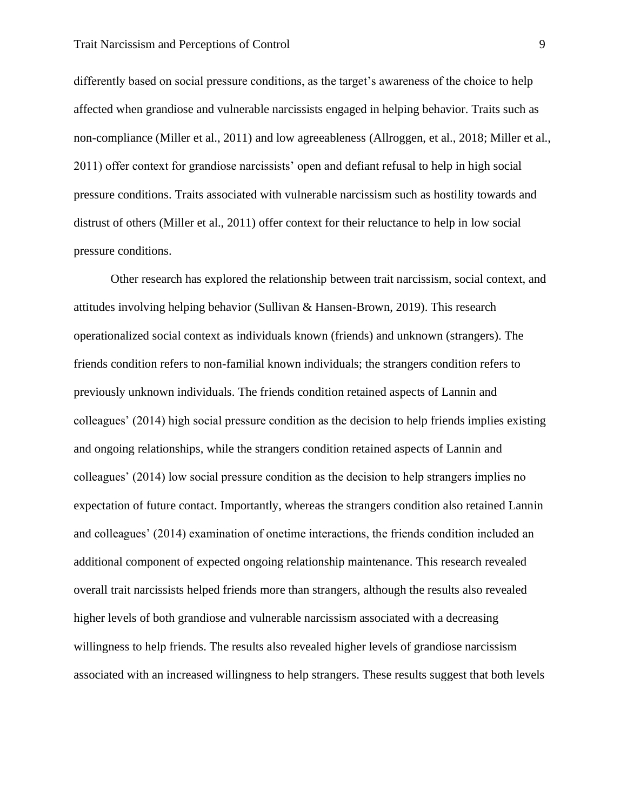differently based on social pressure conditions, as the target's awareness of the choice to help affected when grandiose and vulnerable narcissists engaged in helping behavior. Traits such as non-compliance (Miller et al., 2011) and low agreeableness (Allroggen, et al., 2018; Miller et al., 2011) offer context for grandiose narcissists' open and defiant refusal to help in high social pressure conditions. Traits associated with vulnerable narcissism such as hostility towards and distrust of others (Miller et al., 2011) offer context for their reluctance to help in low social pressure conditions.

 Other research has explored the relationship between trait narcissism, social context, and attitudes involving helping behavior (Sullivan & Hansen-Brown, 2019). This research operationalized social context as individuals known (friends) and unknown (strangers). The friends condition refers to non-familial known individuals; the strangers condition refers to previously unknown individuals. The friends condition retained aspects of Lannin and colleagues' (2014) high social pressure condition as the decision to help friends implies existing and ongoing relationships, while the strangers condition retained aspects of Lannin and colleagues' (2014) low social pressure condition as the decision to help strangers implies no expectation of future contact. Importantly, whereas the strangers condition also retained Lannin and colleagues' (2014) examination of onetime interactions, the friends condition included an additional component of expected ongoing relationship maintenance. This research revealed overall trait narcissists helped friends more than strangers, although the results also revealed higher levels of both grandiose and vulnerable narcissism associated with a decreasing willingness to help friends. The results also revealed higher levels of grandiose narcissism associated with an increased willingness to help strangers. These results suggest that both levels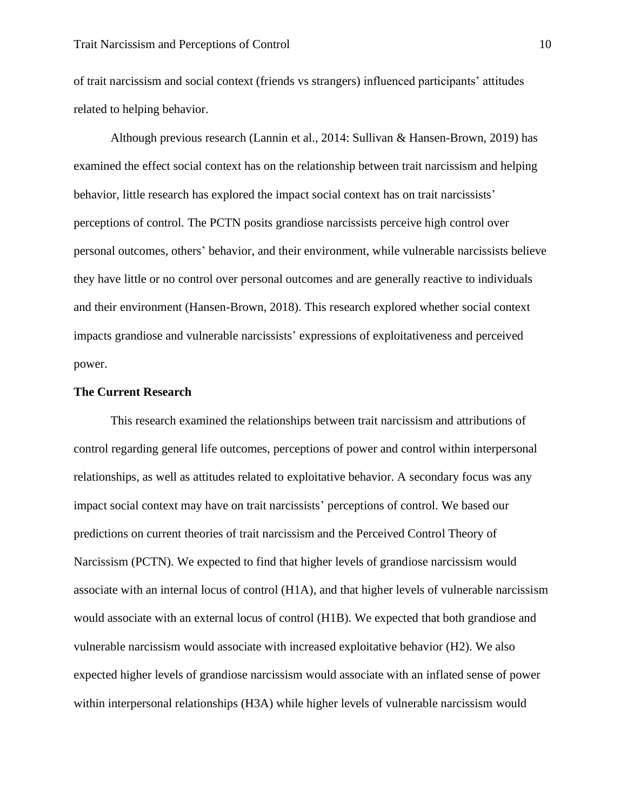of trait narcissism and social context (friends vs strangers) influenced participants' attitudes related to helping behavior.

 Although previous research (Lannin et al., 2014: Sullivan & Hansen-Brown, 2019) has examined the effect social context has on the relationship between trait narcissism and helping behavior, little research has explored the impact social context has on trait narcissists' perceptions of control. The PCTN posits grandiose narcissists perceive high control over personal outcomes, others' behavior, and their environment, while vulnerable narcissists believe they have little or no control over personal outcomes and are generally reactive to individuals and their environment (Hansen-Brown, 2018). This research explored whether social context impacts grandiose and vulnerable narcissists' expressions of exploitativeness and perceived power.

## **The Current Research**

 This research examined the relationships between trait narcissism and attributions of control regarding general life outcomes, perceptions of power and control within interpersonal relationships, as well as attitudes related to exploitative behavior. A secondary focus was any impact social context may have on trait narcissists' perceptions of control. We based our predictions on current theories of trait narcissism and the Perceived Control Theory of Narcissism (PCTN). We expected to find that higher levels of grandiose narcissism would associate with an internal locus of control (H1A), and that higher levels of vulnerable narcissism would associate with an external locus of control (H1B). We expected that both grandiose and vulnerable narcissism would associate with increased exploitative behavior (H2). We also expected higher levels of grandiose narcissism would associate with an inflated sense of power within interpersonal relationships (H3A) while higher levels of vulnerable narcissism would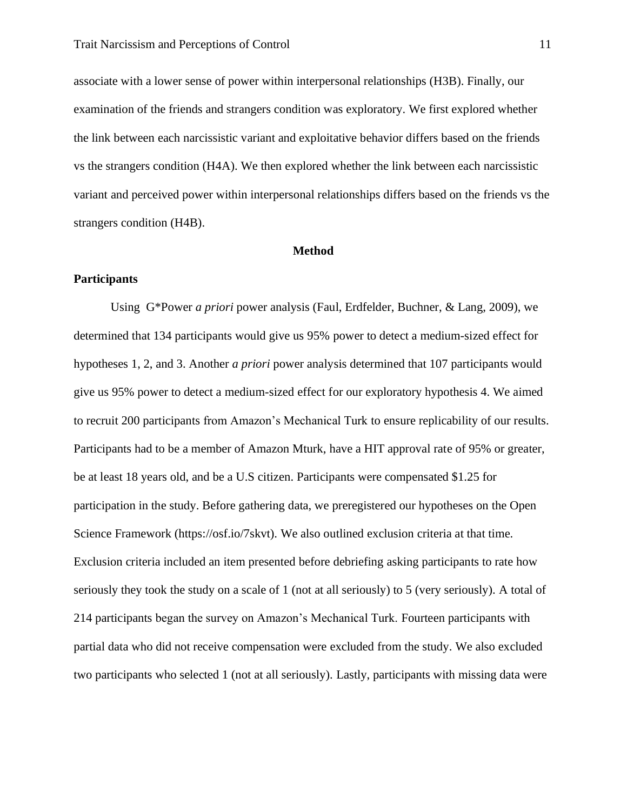associate with a lower sense of power within interpersonal relationships (H3B). Finally, our examination of the friends and strangers condition was exploratory. We first explored whether the link between each narcissistic variant and exploitative behavior differs based on the friends vs the strangers condition (H4A). We then explored whether the link between each narcissistic variant and perceived power within interpersonal relationships differs based on the friends vs the strangers condition (H4B).

## **Method**

## **Participants**

 Using G\*Power *a priori* power analysis (Faul, Erdfelder, Buchner, & Lang, 2009), we determined that 134 participants would give us 95% power to detect a medium-sized effect for hypotheses 1, 2, and 3. Another *a priori* power analysis determined that 107 participants would give us 95% power to detect a medium-sized effect for our exploratory hypothesis 4. We aimed to recruit 200 participants from Amazon's Mechanical Turk to ensure replicability of our results. Participants had to be a member of Amazon Mturk, have a HIT approval rate of 95% or greater, be at least 18 years old, and be a U.S citizen. Participants were compensated \$1.25 for participation in the study. Before gathering data, we preregistered our hypotheses on the Open Science Framework (https://osf.io/7skvt). We also outlined exclusion criteria at that time. Exclusion criteria included an item presented before debriefing asking participants to rate how seriously they took the study on a scale of 1 (not at all seriously) to 5 (very seriously). A total of 214 participants began the survey on Amazon's Mechanical Turk. Fourteen participants with partial data who did not receive compensation were excluded from the study. We also excluded two participants who selected 1 (not at all seriously). Lastly, participants with missing data were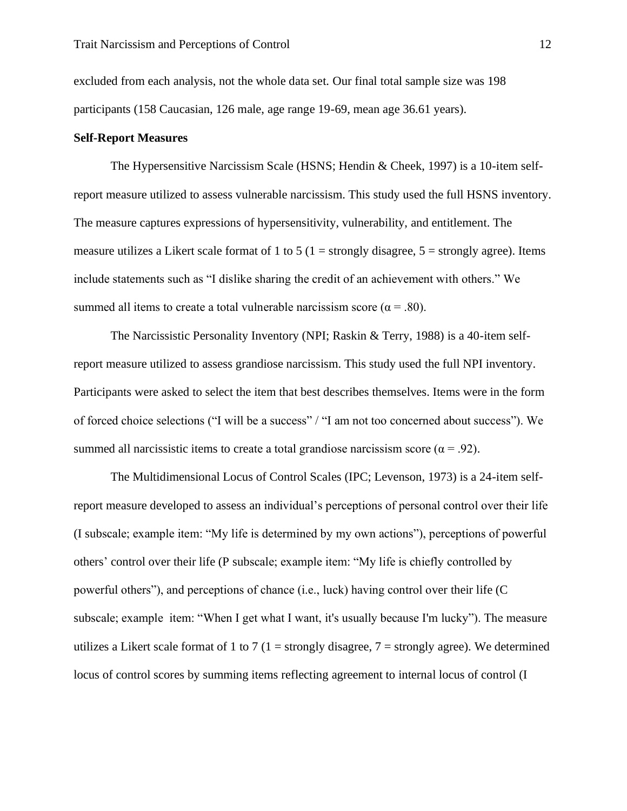excluded from each analysis, not the whole data set. Our final total sample size was 198 participants (158 Caucasian, 126 male, age range 19-69, mean age 36.61 years).

## **Self-Report Measures**

The Hypersensitive Narcissism Scale (HSNS; Hendin & Cheek, 1997) is a 10-item selfreport measure utilized to assess vulnerable narcissism. This study used the full HSNS inventory. The measure captures expressions of hypersensitivity, vulnerability, and entitlement. The measure utilizes a Likert scale format of 1 to 5 ( $1 =$  strongly disagree,  $5 =$  strongly agree). Items include statements such as "I dislike sharing the credit of an achievement with others." We summed all items to create a total vulnerable narcissism score ( $\alpha = .80$ ).

The Narcissistic Personality Inventory (NPI; Raskin & Terry, 1988) is a 40-item selfreport measure utilized to assess grandiose narcissism. This study used the full NPI inventory. Participants were asked to select the item that best describes themselves. Items were in the form of forced choice selections ("I will be a success" / "I am not too concerned about success"). We summed all narcissistic items to create a total grandiose narcissism score ( $\alpha = .92$ ).

The Multidimensional Locus of Control Scales (IPC; Levenson, 1973) is a 24-item selfreport measure developed to assess an individual's perceptions of personal control over their life (I subscale; example item: "My life is determined by my own actions"), perceptions of powerful others' control over their life (P subscale; example item: "My life is chiefly controlled by powerful others"), and perceptions of chance (i.e., luck) having control over their life (C subscale; example item: "When I get what I want, it's usually because I'm lucky"). The measure utilizes a Likert scale format of 1 to 7 (1 = strongly disagree, 7 = strongly agree). We determined locus of control scores by summing items reflecting agreement to internal locus of control (I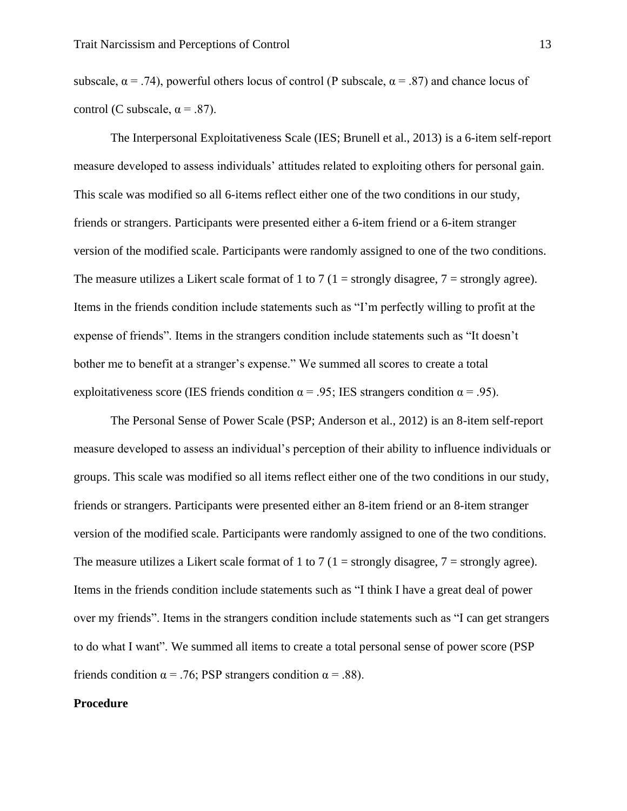subscale,  $\alpha = .74$ ), powerful others locus of control (P subscale,  $\alpha = .87$ ) and chance locus of control (C subscale,  $\alpha = .87$ ).

The Interpersonal Exploitativeness Scale (IES; Brunell et al., 2013) is a 6-item self-report measure developed to assess individuals' attitudes related to exploiting others for personal gain. This scale was modified so all 6-items reflect either one of the two conditions in our study, friends or strangers. Participants were presented either a 6-item friend or a 6-item stranger version of the modified scale. Participants were randomly assigned to one of the two conditions. The measure utilizes a Likert scale format of 1 to 7 (1 = strongly disagree,  $7$  = strongly agree). Items in the friends condition include statements such as "I'm perfectly willing to profit at the expense of friends". Items in the strangers condition include statements such as "It doesn't bother me to benefit at a stranger's expense." We summed all scores to create a total exploitativeness score (IES friends condition  $\alpha = .95$ ; IES strangers condition  $\alpha = .95$ ).

The Personal Sense of Power Scale (PSP; Anderson et al., 2012) is an 8-item self-report measure developed to assess an individual's perception of their ability to influence individuals or groups. This scale was modified so all items reflect either one of the two conditions in our study, friends or strangers. Participants were presented either an 8-item friend or an 8-item stranger version of the modified scale. Participants were randomly assigned to one of the two conditions. The measure utilizes a Likert scale format of 1 to 7 (1 = strongly disagree,  $7$  = strongly agree). Items in the friends condition include statements such as "I think I have a great deal of power over my friends". Items in the strangers condition include statements such as "I can get strangers to do what I want". We summed all items to create a total personal sense of power score (PSP friends condition  $\alpha = .76$ ; PSP strangers condition  $\alpha = .88$ ).

## **Procedure**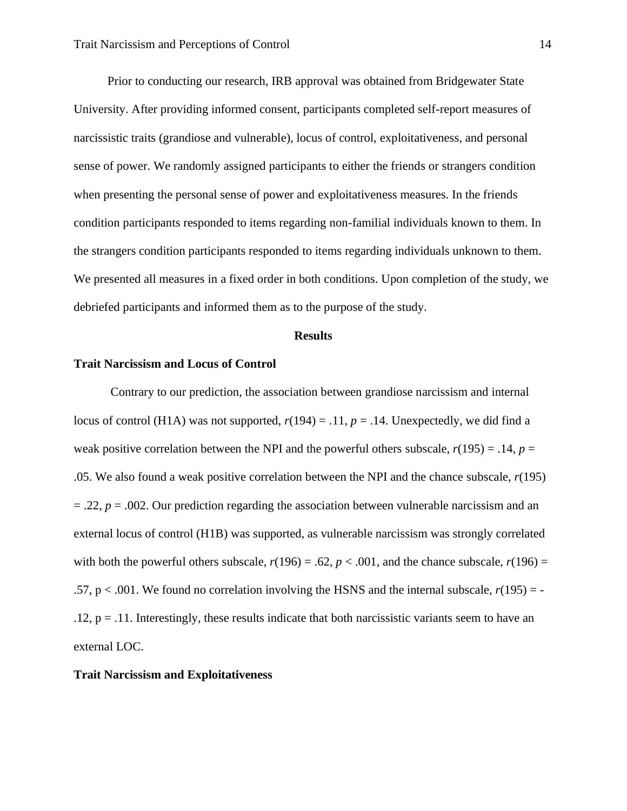Prior to conducting our research, IRB approval was obtained from Bridgewater State University. After providing informed consent, participants completed self-report measures of narcissistic traits (grandiose and vulnerable), locus of control, exploitativeness, and personal sense of power. We randomly assigned participants to either the friends or strangers condition when presenting the personal sense of power and exploitativeness measures. In the friends condition participants responded to items regarding non-familial individuals known to them. In the strangers condition participants responded to items regarding individuals unknown to them. We presented all measures in a fixed order in both conditions. Upon completion of the study, we debriefed participants and informed them as to the purpose of the study.

## **Results**

#### **Trait Narcissism and Locus of Control**

 Contrary to our prediction, the association between grandiose narcissism and internal locus of control (H1A) was not supported,  $r(194) = .11$ ,  $p = .14$ . Unexpectedly, we did find a weak positive correlation between the NPI and the powerful others subscale,  $r(195) = .14$ ,  $p =$ .05. We also found a weak positive correlation between the NPI and the chance subscale, *r*(195)  $=$  .22,  $p = 0.002$ . Our prediction regarding the association between vulnerable narcissism and an external locus of control (H1B) was supported, as vulnerable narcissism was strongly correlated with both the powerful others subscale,  $r(196) = .62$ ,  $p < .001$ , and the chance subscale,  $r(196) =$ .57,  $p < .001$ . We found no correlation involving the HSNS and the internal subscale,  $r(195) = .12, p = .11$ . Interestingly, these results indicate that both narcissistic variants seem to have an external LOC.

## **Trait Narcissism and Exploitativeness**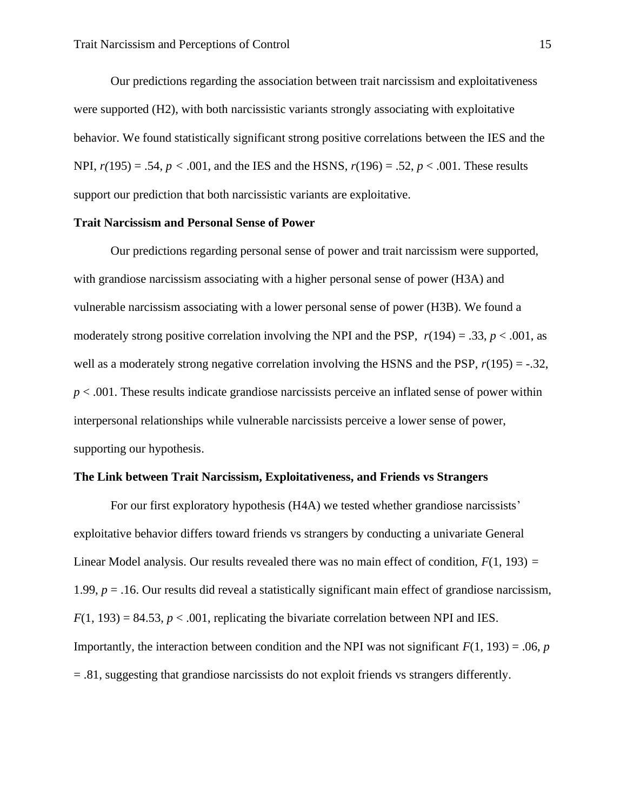Our predictions regarding the association between trait narcissism and exploitativeness were supported (H2), with both narcissistic variants strongly associating with exploitative behavior. We found statistically significant strong positive correlations between the IES and the NPI, *r(*195) = .54, *p <* .001, and the IES and the HSNS, *r*(196) = .52, *p* < .001. These results support our prediction that both narcissistic variants are exploitative.

## **Trait Narcissism and Personal Sense of Power**

 Our predictions regarding personal sense of power and trait narcissism were supported, with grandiose narcissism associating with a higher personal sense of power (H3A) and vulnerable narcissism associating with a lower personal sense of power (H3B). We found a moderately strong positive correlation involving the NPI and the PSP,  $r(194) = .33$ ,  $p < .001$ , as well as a moderately strong negative correlation involving the HSNS and the PSP,  $r(195) = -.32$ , *p* < .001. These results indicate grandiose narcissists perceive an inflated sense of power within interpersonal relationships while vulnerable narcissists perceive a lower sense of power, supporting our hypothesis.

## **The Link between Trait Narcissism, Exploitativeness, and Friends vs Strangers**

 For our first exploratory hypothesis (H4A) we tested whether grandiose narcissists' exploitative behavior differs toward friends vs strangers by conducting a univariate General Linear Model analysis. Our results revealed there was no main effect of condition, *F*(1, 193) *=* 1.99,  $p = 0.16$ . Our results did reveal a statistically significant main effect of grandiose narcissism,  $F(1, 193) = 84.53$ ,  $p < .001$ , replicating the bivariate correlation between NPI and IES. Importantly, the interaction between condition and the NPI was not significant  $F(1, 193) = .06$ , *p* = .81, suggesting that grandiose narcissists do not exploit friends vs strangers differently.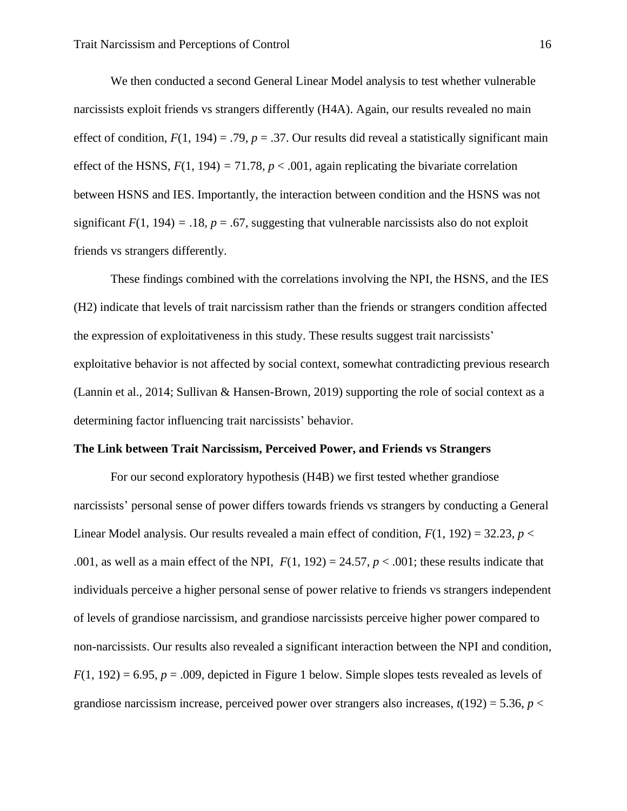We then conducted a second General Linear Model analysis to test whether vulnerable narcissists exploit friends vs strangers differently (H4A). Again, our results revealed no main effect of condition,  $F(1, 194) = .79$ ,  $p = .37$ . Our results did reveal a statistically significant main effect of the HSNS,  $F(1, 194) = 71.78$ ,  $p < .001$ , again replicating the bivariate correlation between HSNS and IES. Importantly, the interaction between condition and the HSNS was not significant  $F(1, 194) = .18$ ,  $p = .67$ , suggesting that vulnerable narcissists also do not exploit friends vs strangers differently.

These findings combined with the correlations involving the NPI, the HSNS, and the IES (H2) indicate that levels of trait narcissism rather than the friends or strangers condition affected the expression of exploitativeness in this study. These results suggest trait narcissists' exploitative behavior is not affected by social context, somewhat contradicting previous research (Lannin et al., 2014; Sullivan & Hansen-Brown, 2019) supporting the role of social context as a determining factor influencing trait narcissists' behavior.

## **The Link between Trait Narcissism, Perceived Power, and Friends vs Strangers**

 For our second exploratory hypothesis (H4B) we first tested whether grandiose narcissists' personal sense of power differs towards friends vs strangers by conducting a General Linear Model analysis. Our results revealed a main effect of condition,  $F(1, 192) = 32.23$ ,  $p <$ .001, as well as a main effect of the NPI,  $F(1, 192) = 24.57$ ,  $p < .001$ ; these results indicate that individuals perceive a higher personal sense of power relative to friends vs strangers independent of levels of grandiose narcissism, and grandiose narcissists perceive higher power compared to non-narcissists. Our results also revealed a significant interaction between the NPI and condition,  $F(1, 192) = 6.95$ ,  $p = .009$ , depicted in Figure 1 below. Simple slopes tests revealed as levels of grandiose narcissism increase, perceived power over strangers also increases,  $t(192) = 5.36$ ,  $p <$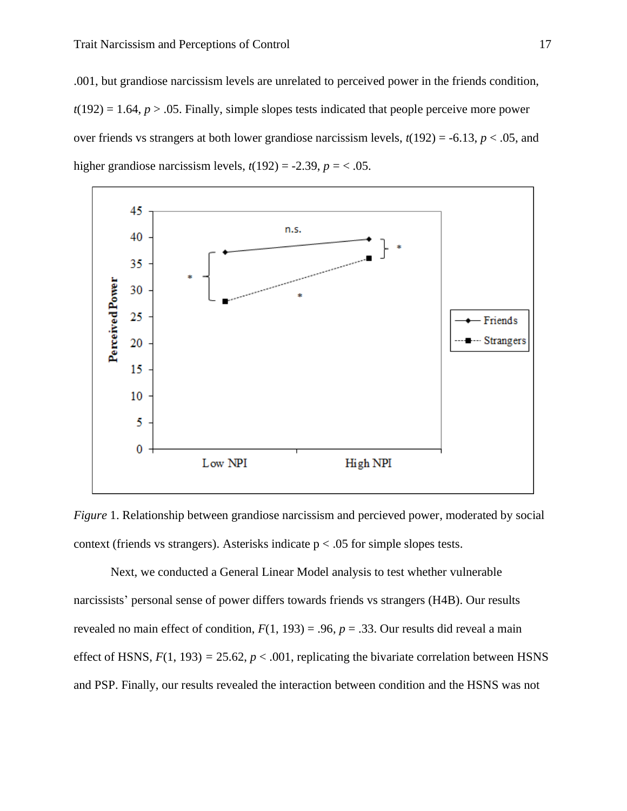.001, but grandiose narcissism levels are unrelated to perceived power in the friends condition,  $t(192) = 1.64$ ,  $p > .05$ . Finally, simple slopes tests indicated that people perceive more power over friends vs strangers at both lower grandiose narcissism levels, *t*(192) = -6.13, *p* < .05, and higher grandiose narcissism levels,  $t(192) = -2.39$ ,  $p = < .05$ .



*Figure* 1. Relationship between grandiose narcissism and percieved power, moderated by social context (friends vs strangers). Asterisks indicate  $p < .05$  for simple slopes tests.

Next, we conducted a General Linear Model analysis to test whether vulnerable narcissists' personal sense of power differs towards friends vs strangers (H4B). Our results revealed no main effect of condition,  $F(1, 193) = .96$ ,  $p = .33$ . Our results did reveal a main effect of HSNS,  $F(1, 193) = 25.62$ ,  $p < .001$ , replicating the bivariate correlation between HSNS and PSP. Finally, our results revealed the interaction between condition and the HSNS was not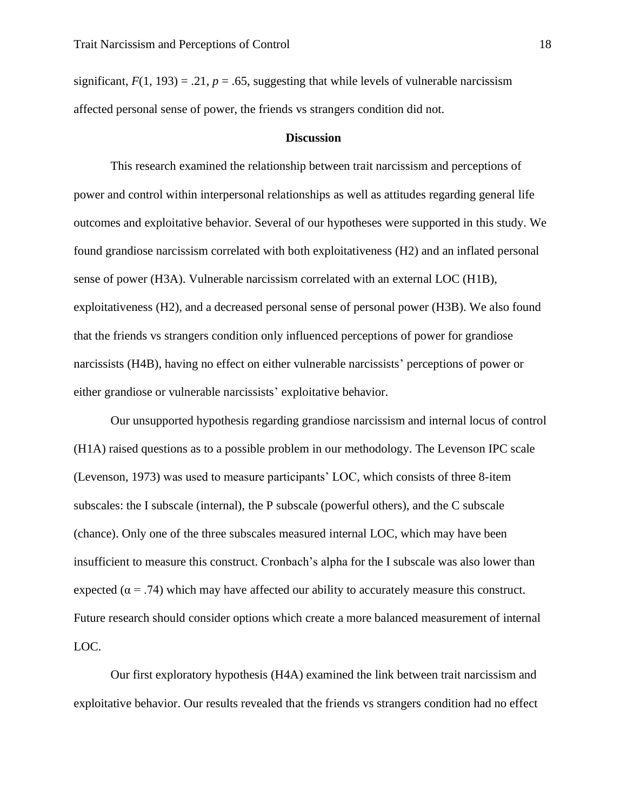significant,  $F(1, 193) = .21$ ,  $p = .65$ , suggesting that while levels of vulnerable narcissism affected personal sense of power, the friends vs strangers condition did not.

#### **Discussion**

 This research examined the relationship between trait narcissism and perceptions of power and control within interpersonal relationships as well as attitudes regarding general life outcomes and exploitative behavior. Several of our hypotheses were supported in this study. We found grandiose narcissism correlated with both exploitativeness (H2) and an inflated personal sense of power (H3A). Vulnerable narcissism correlated with an external LOC (H1B), exploitativeness (H2), and a decreased personal sense of personal power (H3B). We also found that the friends vs strangers condition only influenced perceptions of power for grandiose narcissists (H4B), having no effect on either vulnerable narcissists' perceptions of power or either grandiose or vulnerable narcissists' exploitative behavior.

 Our unsupported hypothesis regarding grandiose narcissism and internal locus of control (H1A) raised questions as to a possible problem in our methodology. The Levenson IPC scale (Levenson, 1973) was used to measure participants' LOC, which consists of three 8-item subscales: the I subscale (internal), the P subscale (powerful others), and the C subscale (chance). Only one of the three subscales measured internal LOC, which may have been insufficient to measure this construct. Cronbach's alpha for the I subscale was also lower than expected ( $\alpha$  = .74) which may have affected our ability to accurately measure this construct. Future research should consider options which create a more balanced measurement of internal LOC.

 Our first exploratory hypothesis (H4A) examined the link between trait narcissism and exploitative behavior. Our results revealed that the friends vs strangers condition had no effect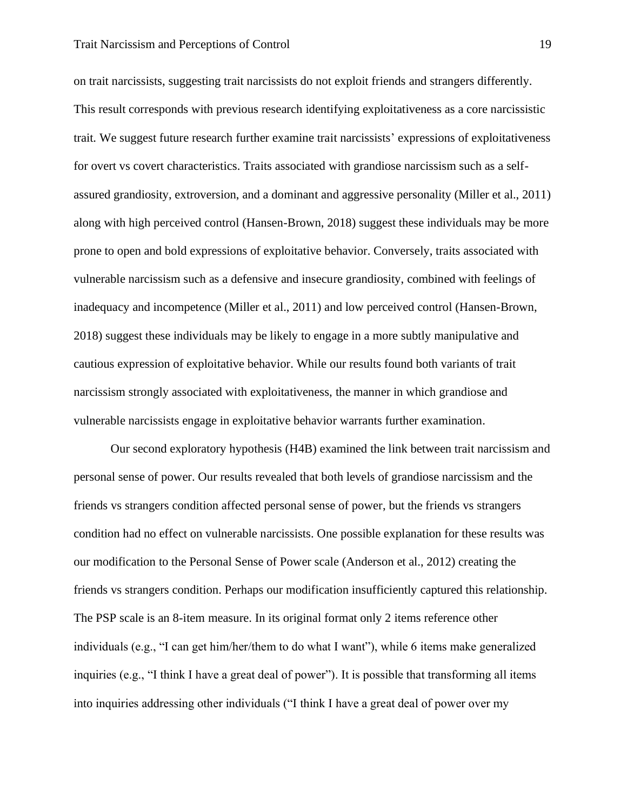## Trait Narcissism and Perceptions of Control 19

on trait narcissists, suggesting trait narcissists do not exploit friends and strangers differently. This result corresponds with previous research identifying exploitativeness as a core narcissistic trait. We suggest future research further examine trait narcissists' expressions of exploitativeness for overt vs covert characteristics. Traits associated with grandiose narcissism such as a selfassured grandiosity, extroversion, and a dominant and aggressive personality (Miller et al., 2011) along with high perceived control (Hansen-Brown, 2018) suggest these individuals may be more prone to open and bold expressions of exploitative behavior. Conversely, traits associated with vulnerable narcissism such as a defensive and insecure grandiosity, combined with feelings of inadequacy and incompetence (Miller et al., 2011) and low perceived control (Hansen-Brown, 2018) suggest these individuals may be likely to engage in a more subtly manipulative and cautious expression of exploitative behavior. While our results found both variants of trait narcissism strongly associated with exploitativeness, the manner in which grandiose and vulnerable narcissists engage in exploitative behavior warrants further examination.

 Our second exploratory hypothesis (H4B) examined the link between trait narcissism and personal sense of power. Our results revealed that both levels of grandiose narcissism and the friends vs strangers condition affected personal sense of power, but the friends vs strangers condition had no effect on vulnerable narcissists. One possible explanation for these results was our modification to the Personal Sense of Power scale (Anderson et al., 2012) creating the friends vs strangers condition. Perhaps our modification insufficiently captured this relationship. The PSP scale is an 8-item measure. In its original format only 2 items reference other individuals (e.g., "I can get him/her/them to do what I want"), while 6 items make generalized inquiries (e.g., "I think I have a great deal of power"). It is possible that transforming all items into inquiries addressing other individuals ("I think I have a great deal of power over my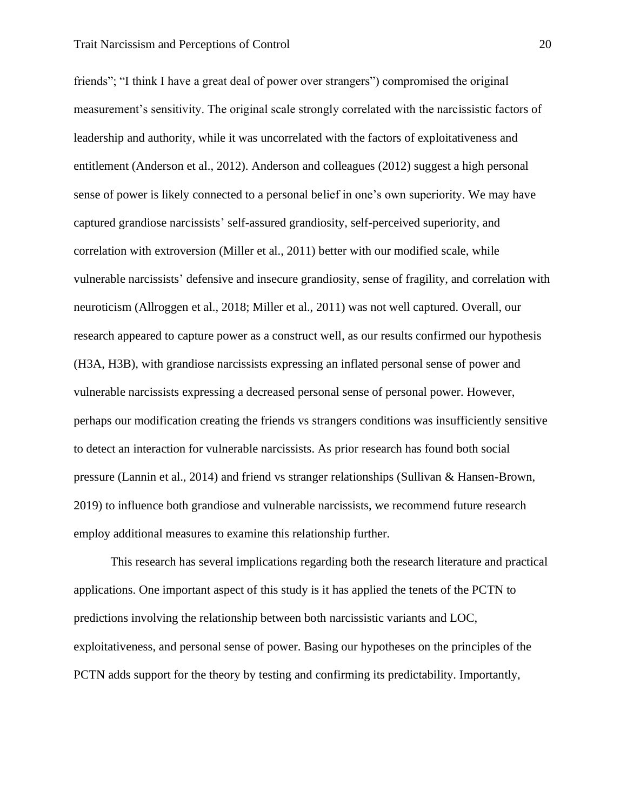friends"; "I think I have a great deal of power over strangers") compromised the original measurement's sensitivity. The original scale strongly correlated with the narcissistic factors of leadership and authority, while it was uncorrelated with the factors of exploitativeness and entitlement (Anderson et al., 2012). Anderson and colleagues (2012) suggest a high personal sense of power is likely connected to a personal belief in one's own superiority. We may have captured grandiose narcissists' self-assured grandiosity, self-perceived superiority, and correlation with extroversion (Miller et al., 2011) better with our modified scale, while vulnerable narcissists' defensive and insecure grandiosity, sense of fragility, and correlation with neuroticism (Allroggen et al., 2018; Miller et al., 2011) was not well captured. Overall, our research appeared to capture power as a construct well, as our results confirmed our hypothesis (H3A, H3B), with grandiose narcissists expressing an inflated personal sense of power and vulnerable narcissists expressing a decreased personal sense of personal power. However, perhaps our modification creating the friends vs strangers conditions was insufficiently sensitive to detect an interaction for vulnerable narcissists. As prior research has found both social pressure (Lannin et al., 2014) and friend vs stranger relationships (Sullivan & Hansen-Brown, 2019) to influence both grandiose and vulnerable narcissists, we recommend future research employ additional measures to examine this relationship further.

 This research has several implications regarding both the research literature and practical applications. One important aspect of this study is it has applied the tenets of the PCTN to predictions involving the relationship between both narcissistic variants and LOC, exploitativeness, and personal sense of power. Basing our hypotheses on the principles of the PCTN adds support for the theory by testing and confirming its predictability. Importantly,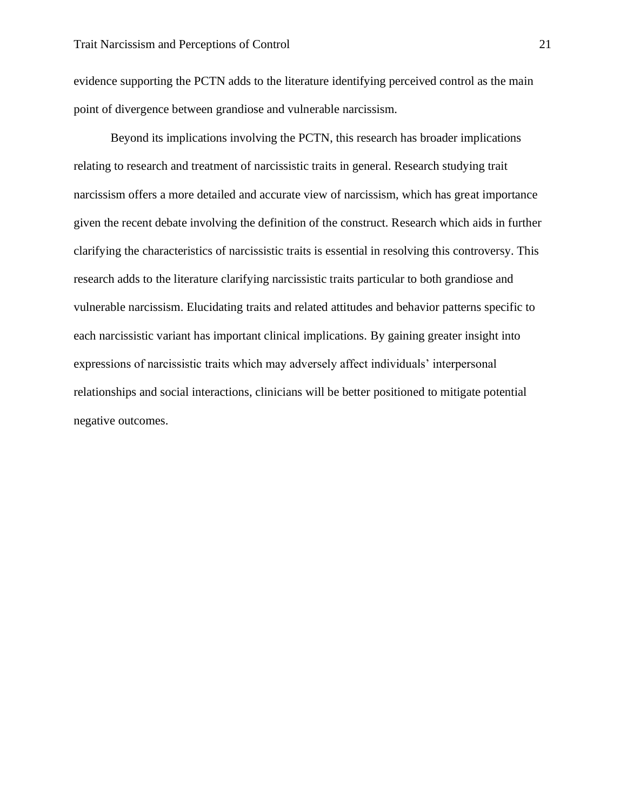evidence supporting the PCTN adds to the literature identifying perceived control as the main point of divergence between grandiose and vulnerable narcissism.

 Beyond its implications involving the PCTN, this research has broader implications relating to research and treatment of narcissistic traits in general. Research studying trait narcissism offers a more detailed and accurate view of narcissism, which has great importance given the recent debate involving the definition of the construct. Research which aids in further clarifying the characteristics of narcissistic traits is essential in resolving this controversy. This research adds to the literature clarifying narcissistic traits particular to both grandiose and vulnerable narcissism. Elucidating traits and related attitudes and behavior patterns specific to each narcissistic variant has important clinical implications. By gaining greater insight into expressions of narcissistic traits which may adversely affect individuals' interpersonal relationships and social interactions, clinicians will be better positioned to mitigate potential negative outcomes.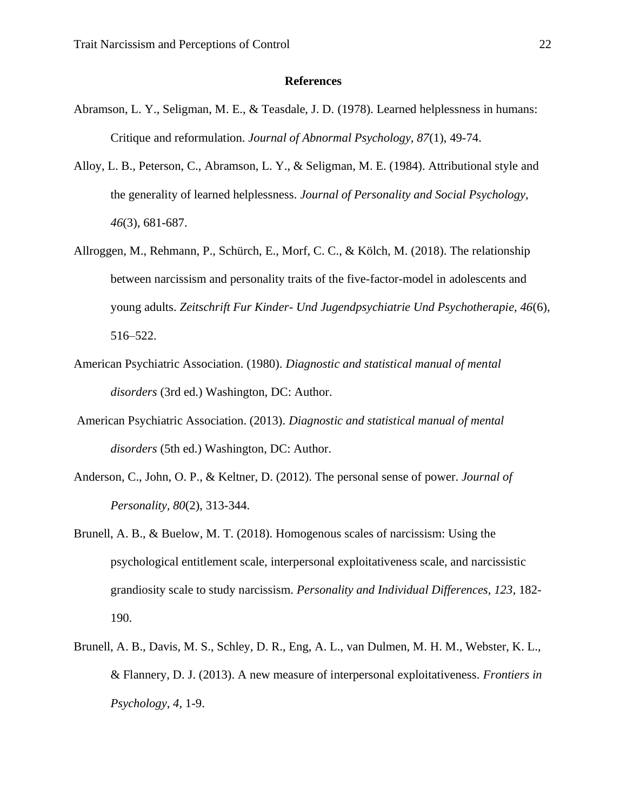## **References**

- Abramson, L. Y., Seligman, M. E., & Teasdale, J. D. (1978). Learned helplessness in humans: Critique and reformulation. *Journal of Abnormal Psychology, 87*(1), 49-74.
- Alloy, L. B., Peterson, C., Abramson, L. Y., & Seligman, M. E. (1984). Attributional style and the generality of learned helplessness. *Journal of Personality and Social Psychology, 46*(3), 681-687.
- Allroggen, M., Rehmann, P., Schürch, E., Morf, C. C., & Kölch, M. (2018). The relationship between narcissism and personality traits of the five-factor-model in adolescents and young adults. *Zeitschrift Fur Kinder- Und Jugendpsychiatrie Und Psychotherapie, 46*(6), 516–522.
- American Psychiatric Association. (1980). *Diagnostic and statistical manual of mental disorders* (3rd ed.) Washington, DC: Author.
- American Psychiatric Association. (2013). *Diagnostic and statistical manual of mental disorders* (5th ed.) Washington, DC: Author.
- Anderson, C., John, O. P., & Keltner, D. (2012). The personal sense of power. *Journal of Personality, 80*(2), 313-344.
- Brunell, A. B., & Buelow, M. T. (2018). Homogenous scales of narcissism: Using the psychological entitlement scale, interpersonal exploitativeness scale, and narcissistic grandiosity scale to study narcissism. *Personality and Individual Differences, 123*, 182- 190.
- Brunell, A. B., Davis, M. S., Schley, D. R., Eng, A. L., van Dulmen, M. H. M., Webster, K. L., & Flannery, D. J. (2013). A new measure of interpersonal exploitativeness. *Frontiers in Psychology*, *4*, 1-9.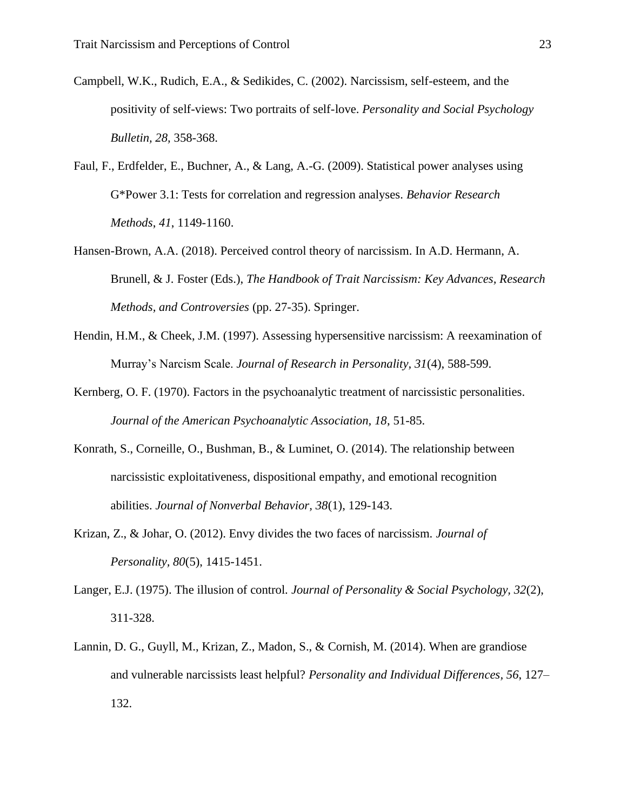- Campbell, W.K., Rudich, E.A., & Sedikides, C. (2002). Narcissism, self-esteem, and the positivity of self-views: Two portraits of self-love. *Personality and Social Psychology Bulletin, 28,* 358-368.
- Faul, F., Erdfelder, E., Buchner, A., & Lang, A.-G. (2009). Statistical power analyses using G\*Power 3.1: Tests for correlation and regression analyses. *Behavior Research Methods*, *41*, 1149-1160.
- Hansen-Brown, A.A. (2018). Perceived control theory of narcissism. In A.D. Hermann, A. Brunell, & J. Foster (Eds.), *The Handbook of Trait Narcissism: Key Advances, Research Methods, and Controversies* (pp. 27-35). Springer.
- Hendin, H.M., & Cheek, J.M. (1997). Assessing hypersensitive narcissism: A reexamination of Murray's Narcism Scale. *Journal of Research in Personality, 31*(4), 588-599.
- Kernberg, O. F. (1970). Factors in the psychoanalytic treatment of narcissistic personalities. *Journal of the American Psychoanalytic Association, 18*, 51-85.
- Konrath, S., Corneille, O., Bushman, B., & Luminet, O. (2014). The relationship between narcissistic exploitativeness, dispositional empathy, and emotional recognition abilities. *Journal of Nonverbal Behavior, 38*(1), 129-143.
- Krizan, Z., & Johar, O. (2012). Envy divides the two faces of narcissism. *Journal of Personality, 80*(5), 1415-1451.
- Langer, E.J. (1975). The illusion of control. *Journal of Personality & Social Psychology, 32*(2), 311-328.
- Lannin, D. G., Guyll, M., Krizan, Z., Madon, S., & Cornish, M. (2014). When are grandiose and vulnerable narcissists least helpful? *Personality and Individual Differences, 56*, 127– 132.